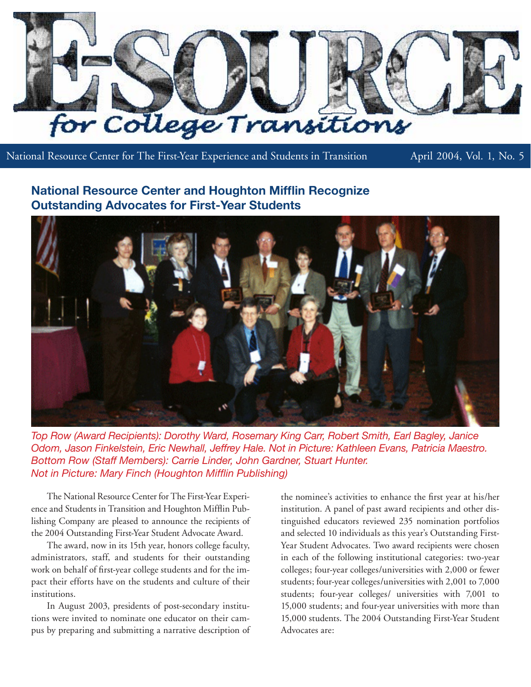

National Resource Center for The First-Year Experience and Students in Transition April 2004, Vol. 1, No. 5

# **National Resource Center and Houghton Mifflin Recognize Outstanding Advocates for First-Year Students**



*Top Row (Award Recipients): Dorothy Ward, Rosemary King Carr, Robert Smith, Earl Bagley, Janice Odom, Jason Finkelstein, Eric Newhall, Jeffrey Hale. Not in Picture: Kathleen Evans, Patricia Maestro. Bottom Row (Staff Members): Carrie Linder, John Gardner, Stuart Hunter. Not in Picture: Mary Finch (Houghton Mifflin Publishing)*

The National Resource Center for The First-Year Experience and Students in Transition and Houghton Mifflin Publishing Company are pleased to announce the recipients of the 2004 Outstanding First-Year Student Advocate Award.

The award, now in its 15th year, honors college faculty, administrators, staff, and students for their outstanding work on behalf of first-year college students and for the impact their efforts have on the students and culture of their institutions.

In August 2003, presidents of post-secondary institutions were invited to nominate one educator on their campus by preparing and submitting a narrative description of the nominee's activities to enhance the first year at his/her institution. A panel of past award recipients and other distinguished educators reviewed 235 nomination portfolios and selected 10 individuals as this year's Outstanding First-Year Student Advocates. Two award recipients were chosen in each of the following institutional categories: two-year colleges; four-year colleges/universities with 2,000 or fewer students; four-year colleges/universities with 2,001 to 7,000 students; four-year colleges/ universities with 7,001 to 15,000 students; and four-year universities with more than 15,000 students. The 2004 Outstanding First-Year Student Advocates are: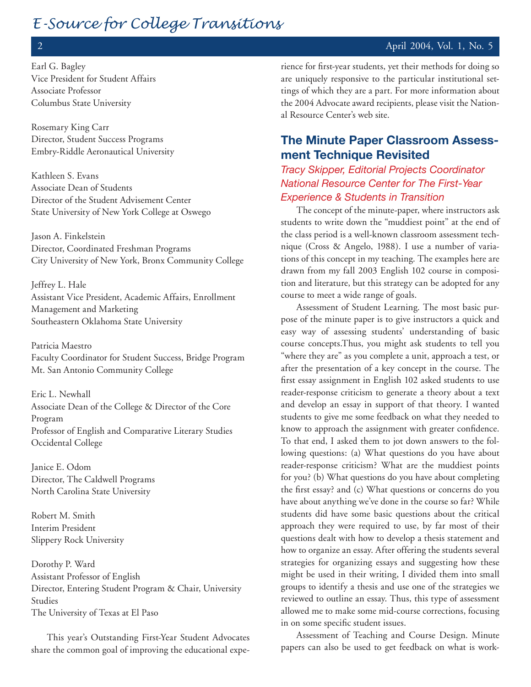# 2 April 2004, Vol. 1, No. 5

Earl G. Bagley Vice President for Student Affairs Associate Professor Columbus State University

Rosemary King Carr Director, Student Success Programs Embry-Riddle Aeronautical University

Kathleen S. Evans Associate Dean of Students Director of the Student Advisement Center State University of New York College at Oswego

Jason A. Finkelstein Director, Coordinated Freshman Programs City University of New York, Bronx Community College

Jeffrey L. Hale Assistant Vice President, Academic Affairs, Enrollment Management and Marketing Southeastern Oklahoma State University

Patricia Maestro Faculty Coordinator for Student Success, Bridge Program Mt. San Antonio Community College

Eric L. Newhall Associate Dean of the College & Director of the Core Program Professor of English and Comparative Literary Studies Occidental College

Janice E. Odom Director, The Caldwell Programs North Carolina State University

Robert M. Smith Interim President Slippery Rock University

Dorothy P. Ward Assistant Professor of English Director, Entering Student Program & Chair, University Studies The University of Texas at El Paso

This year's Outstanding First-Year Student Advocates share the common goal of improving the educational experience for first-year students, yet their methods for doing so are uniquely responsive to the particular institutional settings of which they are a part. For more information about the 2004 Advocate award recipients, please visit the National Resource Center's web site.

# **The Minute Paper Classroom Assessment Technique Revisited**

*Tracy Skipper, Editorial Projects Coordinator National Resource Center for The First-Year Experience & Students in Transition* 

The concept of the minute-paper, where instructors ask students to write down the "muddiest point" at the end of the class period is a well-known classroom assessment technique (Cross & Angelo, 1988). I use a number of variations of this concept in my teaching. The examples here are drawn from my fall 2003 English 102 course in composition and literature, but this strategy can be adopted for any course to meet a wide range of goals.

Assessment of Student Learning. The most basic purpose of the minute paper is to give instructors a quick and easy way of assessing students' understanding of basic course concepts.Thus, you might ask students to tell you "where they are" as you complete a unit, approach a test, or after the presentation of a key concept in the course. The first essay assignment in English 102 asked students to use reader-response criticism to generate a theory about a text and develop an essay in support of that theory. I wanted students to give me some feedback on what they needed to know to approach the assignment with greater confidence. To that end, I asked them to jot down answers to the following questions: (a) What questions do you have about reader-response criticism? What are the muddiest points for you? (b) What questions do you have about completing the first essay? and (c) What questions or concerns do you have about anything we've done in the course so far? While students did have some basic questions about the critical approach they were required to use, by far most of their questions dealt with how to develop a thesis statement and how to organize an essay. After offering the students several strategies for organizing essays and suggesting how these might be used in their writing, I divided them into small groups to identify a thesis and use one of the strategies we reviewed to outline an essay. Thus, this type of assessment allowed me to make some mid-course corrections, focusing in on some specific student issues.

Assessment of Teaching and Course Design. Minute papers can also be used to get feedback on what is work-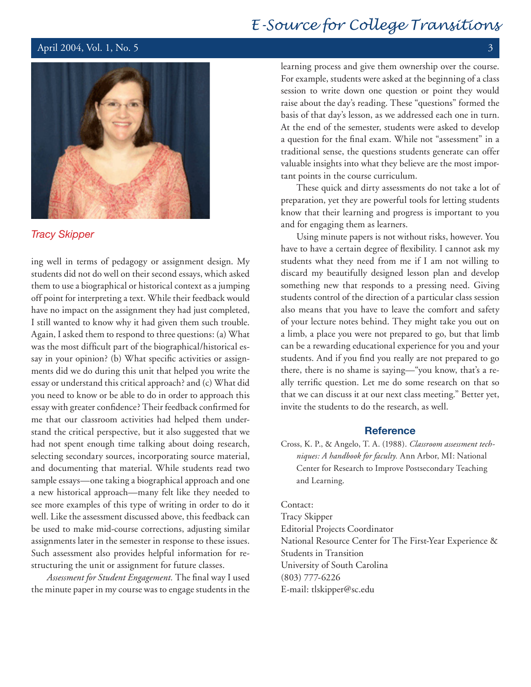## April 2004, Vol. 1, No. 5  $\frac{3}{3}$



# *Tracy Skipper*

ing well in terms of pedagogy or assignment design. My students did not do well on their second essays, which asked them to use a biographical or historical context as a jumping off point for interpreting a text. While their feedback would have no impact on the assignment they had just completed, I still wanted to know why it had given them such trouble. Again, I asked them to respond to three questions: (a) What was the most difficult part of the biographical/historical essay in your opinion? (b) What specific activities or assignments did we do during this unit that helped you write the essay or understand this critical approach? and (c) What did you need to know or be able to do in order to approach this essay with greater confidence? Their feedback confirmed for me that our classroom activities had helped them understand the critical perspective, but it also suggested that we had not spent enough time talking about doing research, selecting secondary sources, incorporating source material, and documenting that material. While students read two sample essays—one taking a biographical approach and one a new historical approach—many felt like they needed to see more examples of this type of writing in order to do it well. Like the assessment discussed above, this feedback can be used to make mid-course corrections, adjusting similar assignments later in the semester in response to these issues. Such assessment also provides helpful information for restructuring the unit or assignment for future classes.

*Assessment for Student Engagement.* The final way I used the minute paper in my course was to engage students in the

learning process and give them ownership over the course. For example, students were asked at the beginning of a class session to write down one question or point they would raise about the day's reading. These "questions" formed the basis of that day's lesson, as we addressed each one in turn. At the end of the semester, students were asked to develop a question for the final exam. While not "assessment" in a traditional sense, the questions students generate can offer valuable insights into what they believe are the most important points in the course curriculum.

These quick and dirty assessments do not take a lot of preparation, yet they are powerful tools for letting students know that their learning and progress is important to you and for engaging them as learners.

Using minute papers is not without risks, however. You have to have a certain degree of flexibility. I cannot ask my students what they need from me if I am not willing to discard my beautifully designed lesson plan and develop something new that responds to a pressing need. Giving students control of the direction of a particular class session also means that you have to leave the comfort and safety of your lecture notes behind. They might take you out on a limb, a place you were not prepared to go, but that limb can be a rewarding educational experience for you and your students. And if you find you really are not prepared to go there, there is no shame is saying—"you know, that's a really terrific question. Let me do some research on that so that we can discuss it at our next class meeting." Better yet, invite the students to do the research, as well.

## **Reference**

Cross, K. P., & Angelo, T. A. (1988). *Classroom assessment techniques: A handbook for faculty.* Ann Arbor, MI: National Center for Research to Improve Postsecondary Teaching and Learning.

#### Contact:

Tracy Skipper Editorial Projects Coordinator National Resource Center for The First-Year Experience & Students in Transition University of South Carolina (803) 777-6226 E-mail: tlskipper@sc.edu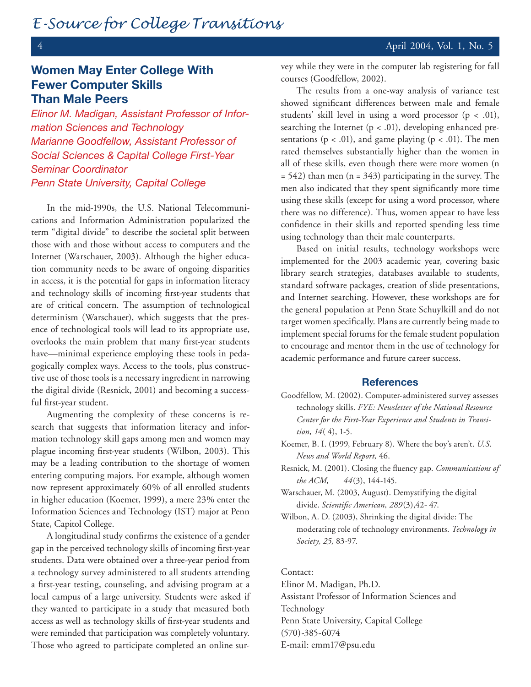# **Women May Enter College With Fewer Computer Skills Than Male Peers**

*Elinor M. Madigan, Assistant Professor of Information Sciences and Technology Marianne Goodfellow, Assistant Professor of Social Sciences & Capital College First-Year Seminar Coordinator Penn State University, Capital College*

In the mid-1990s, the U.S. National Telecommunications and Information Administration popularized the term "digital divide" to describe the societal split between those with and those without access to computers and the Internet (Warschauer, 2003). Although the higher education community needs to be aware of ongoing disparities in access, it is the potential for gaps in information literacy and technology skills of incoming first-year students that are of critical concern. The assumption of technological determinism (Warschauer), which suggests that the presence of technological tools will lead to its appropriate use, overlooks the main problem that many first-year students have—minimal experience employing these tools in pedagogically complex ways. Access to the tools, plus constructive use of those tools is a necessary ingredient in narrowing the digital divide (Resnick, 2001) and becoming a successful first-year student.

Augmenting the complexity of these concerns is research that suggests that information literacy and information technology skill gaps among men and women may plague incoming first-year students (Wilbon, 2003). This may be a leading contribution to the shortage of women entering computing majors. For example, although women now represent approximately 60% of all enrolled students in higher education (Koemer, 1999), a mere 23% enter the Information Sciences and Technology (IST) major at Penn State, Capitol College.

A longitudinal study confirms the existence of a gender gap in the perceived technology skills of incoming first-year students. Data were obtained over a three-year period from a technology survey administered to all students attending a first-year testing, counseling, and advising program at a local campus of a large university. Students were asked if they wanted to participate in a study that measured both access as well as technology skills of first-year students and were reminded that participation was completely voluntary. Those who agreed to participate completed an online survey while they were in the computer lab registering for fall courses (Goodfellow, 2002).

The results from a one-way analysis of variance test showed significant differences between male and female students' skill level in using a word processor  $(p < .01)$ , searching the Internet  $(p < .01)$ , developing enhanced presentations ( $p < .01$ ), and game playing ( $p < .01$ ). The men rated themselves substantially higher than the women in all of these skills, even though there were more women (n  $= 542$ ) than men (n = 343) participating in the survey. The men also indicated that they spent significantly more time using these skills (except for using a word processor, where there was no difference). Thus, women appear to have less confidence in their skills and reported spending less time using technology than their male counterparts.

Based on initial results, technology workshops were implemented for the 2003 academic year, covering basic library search strategies, databases available to students, standard software packages, creation of slide presentations, and Internet searching. However, these workshops are for the general population at Penn State Schuylkill and do not target women specifically. Plans are currently being made to implement special forums for the female student population to encourage and mentor them in the use of technology for academic performance and future career success.

#### **References**

- Goodfellow, M. (2002). Computer-administered survey assesses technology skills. *FYE: Newsletter of the National Resource Center for the First-Year Experience and Students in Transition, 14*( 4), 1-5.
- Koemer, B. I. (1999, February 8). Where the boy's aren't. *U.S. News and World Report,* 46.

Resnick, M. (2001). Closing the fluency gap. *Communications of the ACM, 44*(3), 144-145.

Warschauer, M. (2003, August). Demystifying the digital divide. *Scientific American, 289*(3),42- 47.

Wilbon, A. D. (2003), Shrinking the digital divide: The moderating role of technology environments. *Technology in Society, 25,* 83-97.

#### Contact:

Elinor M. Madigan, Ph.D. Assistant Professor of Information Sciences and Technology Penn State University, Capital College (570)-385-6074 E-mail: emm17@psu.edu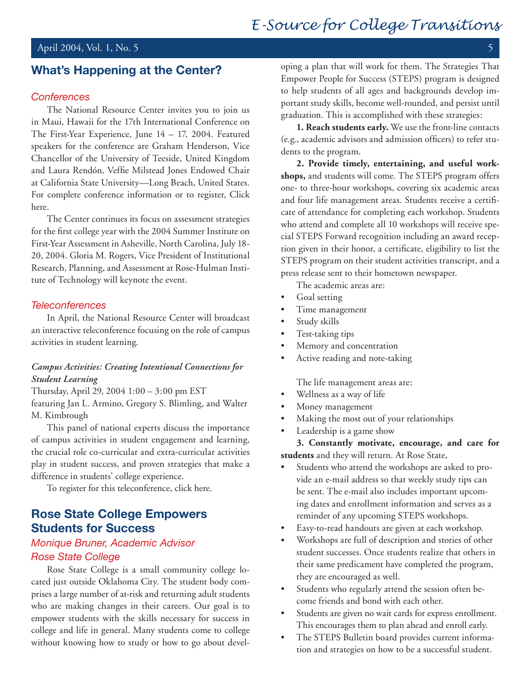# April 2004, Vol. 1, No. 5

# **What's Happening at the Center?**

## *Conferences*

The National Resource Center invites you to join us in Maui, Hawaii for the 17th International Conference on The First-Year Experience, June 14 – 17, 2004. Featured speakers for the conference are Graham Henderson, Vice Chancellor of the University of Teeside, United Kingdom and Laura Rendón, Veffie Milstead Jones Endowed Chair at California State University—Long Beach, United States. For complete conference information or to register, Click here.

The Center continues its focus on assessment strategies for the first college year with the 2004 Summer Institute on First-Year Assessment in Asheville, North Carolina, July 18- 20, 2004. Gloria M. Rogers, Vice President of Institutional Research, Planning, and Assessment at Rose-Hulman Institute of Technology will keynote the event.

### *Teleconferences*

In April, the National Resource Center will broadcast an interactive teleconference focusing on the role of campus activities in student learning.

# *Campus Activities: Creating Intentional Connections for Student Learning*

Thursday, April 29, 2004 1:00 – 3:00 pm EST featuring Jan L. Armino, Gregory S. Blimling, and Walter M. Kimbrough

This panel of national experts discuss the importance of campus activities in student engagement and learning, the crucial role co-curricular and extra-curricular activities play in student success, and proven strategies that make a difference in students' college experience.

To register for this teleconference, click here.

# **Rose State College Empowers Students for Success**

# *Monique Bruner, Academic Advisor Rose State College*

Rose State College is a small community college located just outside Oklahoma City. The student body comprises a large number of at-risk and returning adult students who are making changes in their careers. Our goal is to empower students with the skills necessary for success in college and life in general. Many students come to college without knowing how to study or how to go about developing a plan that will work for them. The Strategies That Empower People for Success (STEPS) program is designed to help students of all ages and backgrounds develop important study skills, become well-rounded, and persist until graduation. This is accomplished with these strategies:

**1. Reach students early.** We use the front-line contacts (e.g., academic advisors and admission officers) to refer students to the program.

**2. Provide timely, entertaining, and useful workshops,** and students will come. The STEPS program offers one- to three-hour workshops, covering six academic areas and four life management areas. Students receive a certificate of attendance for completing each workshop. Students who attend and complete all 10 workshops will receive special STEPS Forward recognition including an award reception given in their honor, a certificate, eligibility to list the STEPS program on their student activities transcript, and a press release sent to their hometown newspaper.

The academic areas are:

- Goal setting •
- Time management •
- Study skills •
- Test-taking tips •
- Memory and concentration •
- Active reading and note-taking •

The life management areas are:

- Wellness as a way of life •
- Money management •
- Making the most out of your relationships •
- Leadership is a game show •

**3. Constantly motivate, encourage, and care for students** and they will return. At Rose State,

- Students who attend the workshops are asked to provide an e-mail address so that weekly study tips can be sent. The e-mail also includes important upcoming dates and enrollment information and serves as a reminder of any upcoming STEPS workshops. •
- Easy-to-read handouts are given at each workshop. •
- Workshops are full of description and stories of other student successes. Once students realize that others in their same predicament have completed the program, they are encouraged as well. •
- Students who regularly attend the session often become friends and bond with each other. •
- Students are given no wait cards for express enrollment. This encourages them to plan ahead and enroll early. •
- The STEPS Bulletin board provides current information and strategies on how to be a successful student. •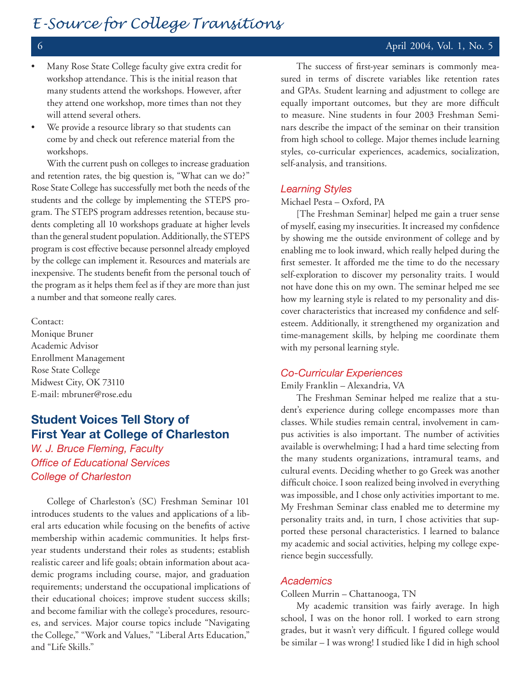- 
- Many Rose State College faculty give extra credit for workshop attendance. This is the initial reason that many students attend the workshops. However, after they attend one workshop, more times than not they will attend several others. •
- We provide a resource library so that students can come by and check out reference material from the workshops. •

With the current push on colleges to increase graduation and retention rates, the big question is, "What can we do?" Rose State College has successfully met both the needs of the students and the college by implementing the STEPS program. The STEPS program addresses retention, because students completing all 10 workshops graduate at higher levels than the general student population. Additionally, the STEPS program is cost effective because personnel already employed by the college can implement it. Resources and materials are inexpensive. The students benefit from the personal touch of the program as it helps them feel as if they are more than just a number and that someone really cares.

Contact:

Monique Bruner Academic Advisor Enrollment Management Rose State College Midwest City, OK 73110 E-mail: mbruner@rose.edu

# **Student Voices Tell Story of First Year at College of Charleston**

*W. J. Bruce Fleming, Faculty Office of Educational Services College of Charleston*

College of Charleston's (SC) Freshman Seminar 101 introduces students to the values and applications of a liberal arts education while focusing on the benefits of active membership within academic communities. It helps firstyear students understand their roles as students; establish realistic career and life goals; obtain information about academic programs including course, major, and graduation requirements; understand the occupational implications of their educational choices; improve student success skills; and become familiar with the college's procedures, resources, and services. Major course topics include "Navigating the College," "Work and Values," "Liberal Arts Education," and "Life Skills."

The success of first-year seminars is commonly measured in terms of discrete variables like retention rates and GPAs. Student learning and adjustment to college are equally important outcomes, but they are more difficult to measure. Nine students in four 2003 Freshman Seminars describe the impact of the seminar on their transition from high school to college. Major themes include learning styles, co-curricular experiences, academics, socialization, self-analysis, and transitions.

## *Learning Styles*

Michael Pesta – Oxford, PA

[The Freshman Seminar] helped me gain a truer sense of myself, easing my insecurities. It increased my confidence by showing me the outside environment of college and by enabling me to look inward, which really helped during the first semester. It afforded me the time to do the necessary self-exploration to discover my personality traits. I would not have done this on my own. The seminar helped me see how my learning style is related to my personality and discover characteristics that increased my confidence and selfesteem. Additionally, it strengthened my organization and time-management skills, by helping me coordinate them with my personal learning style.

#### *Co-Curricular Experiences*

Emily Franklin – Alexandria, VA

The Freshman Seminar helped me realize that a student's experience during college encompasses more than classes. While studies remain central, involvement in campus activities is also important. The number of activities available is overwhelming; I had a hard time selecting from the many students organizations, intramural teams, and cultural events. Deciding whether to go Greek was another difficult choice. I soon realized being involved in everything was impossible, and I chose only activities important to me. My Freshman Seminar class enabled me to determine my personality traits and, in turn, I chose activities that supported these personal characteristics. I learned to balance my academic and social activities, helping my college experience begin successfully.

### *Academics*

### Colleen Murrin – Chattanooga, TN

My academic transition was fairly average. In high school, I was on the honor roll. I worked to earn strong grades, but it wasn't very difficult. I figured college would be similar – I was wrong! I studied like I did in high school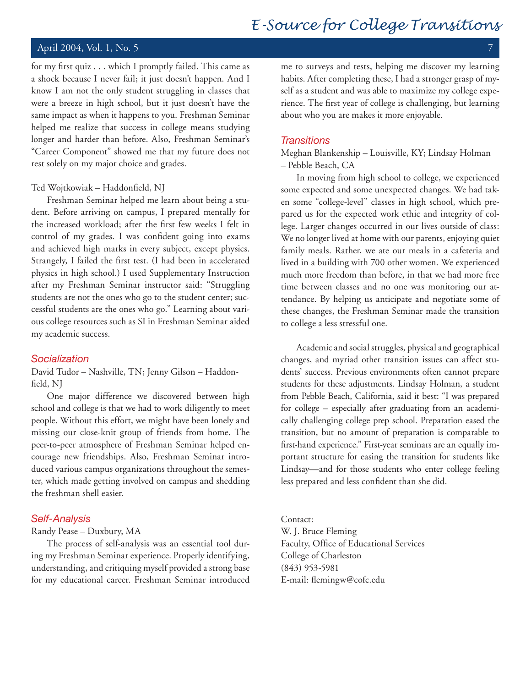# April 2004, Vol. 1, No. 5 7

for my first quiz . . . which I promptly failed. This came as a shock because I never fail; it just doesn't happen. And I know I am not the only student struggling in classes that were a breeze in high school, but it just doesn't have the same impact as when it happens to you. Freshman Seminar helped me realize that success in college means studying longer and harder than before. Also, Freshman Seminar's "Career Component" showed me that my future does not rest solely on my major choice and grades.

#### Ted Wojtkowiak – Haddonfield, NJ

Freshman Seminar helped me learn about being a student. Before arriving on campus, I prepared mentally for the increased workload; after the first few weeks I felt in control of my grades. I was confident going into exams and achieved high marks in every subject, except physics. Strangely, I failed the first test. (I had been in accelerated physics in high school.) I used Supplementary Instruction after my Freshman Seminar instructor said: "Struggling students are not the ones who go to the student center; successful students are the ones who go." Learning about various college resources such as SI in Freshman Seminar aided my academic success.

#### *Socialization*

David Tudor – Nashville, TN; Jenny Gilson – Haddonfield, NJ

One major difference we discovered between high school and college is that we had to work diligently to meet people. Without this effort, we might have been lonely and missing our close-knit group of friends from home. The peer-to-peer atmosphere of Freshman Seminar helped encourage new friendships. Also, Freshman Seminar introduced various campus organizations throughout the semester, which made getting involved on campus and shedding the freshman shell easier.

#### *Self-Analysis*

Randy Pease – Duxbury, MA

The process of self-analysis was an essential tool during my Freshman Seminar experience. Properly identifying, understanding, and critiquing myself provided a strong base for my educational career. Freshman Seminar introduced me to surveys and tests, helping me discover my learning habits. After completing these, I had a stronger grasp of myself as a student and was able to maximize my college experience. The first year of college is challenging, but learning about who you are makes it more enjoyable.

#### *Transitions*

Meghan Blankenship – Louisville, KY; Lindsay Holman – Pebble Beach, CA

In moving from high school to college, we experienced some expected and some unexpected changes. We had taken some "college-level" classes in high school, which prepared us for the expected work ethic and integrity of college. Larger changes occurred in our lives outside of class: We no longer lived at home with our parents, enjoying quiet family meals. Rather, we ate our meals in a cafeteria and lived in a building with 700 other women. We experienced much more freedom than before, in that we had more free time between classes and no one was monitoring our attendance. By helping us anticipate and negotiate some of these changes, the Freshman Seminar made the transition to college a less stressful one.

Academic and social struggles, physical and geographical changes, and myriad other transition issues can affect students' success. Previous environments often cannot prepare students for these adjustments. Lindsay Holman, a student from Pebble Beach, California, said it best: "I was prepared for college – especially after graduating from an academically challenging college prep school. Preparation eased the transition, but no amount of preparation is comparable to first-hand experience." First-year seminars are an equally important structure for easing the transition for students like Lindsay—and for those students who enter college feeling less prepared and less confident than she did.

Contact:

W. J. Bruce Fleming Faculty, Office of Educational Services College of Charleston (843) 953-5981 E-mail: flemingw@cofc.edu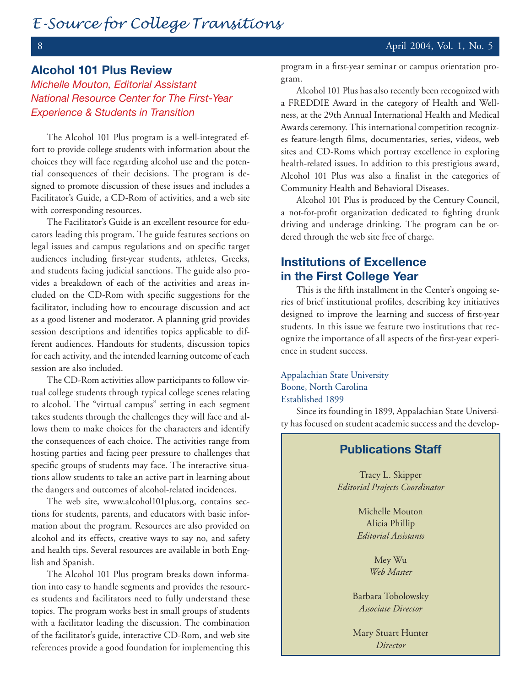# **Alcohol 101 Plus Review**

*Michelle Mouton, Editorial Assistant National Resource Center for The First-Year Experience & Students in Transition*

The Alcohol 101 Plus program is a well-integrated effort to provide college students with information about the choices they will face regarding alcohol use and the potential consequences of their decisions. The program is designed to promote discussion of these issues and includes a Facilitator's Guide, a CD-Rom of activities, and a web site with corresponding resources.

The Facilitator's Guide is an excellent resource for educators leading this program. The guide features sections on legal issues and campus regulations and on specific target audiences including first-year students, athletes, Greeks, and students facing judicial sanctions. The guide also provides a breakdown of each of the activities and areas included on the CD-Rom with specific suggestions for the facilitator, including how to encourage discussion and act as a good listener and moderator. A planning grid provides session descriptions and identifies topics applicable to different audiences. Handouts for students, discussion topics for each activity, and the intended learning outcome of each session are also included.

The CD-Rom activities allow participants to follow virtual college students through typical college scenes relating to alcohol. The "virtual campus" setting in each segment takes students through the challenges they will face and allows them to make choices for the characters and identify the consequences of each choice. The activities range from hosting parties and facing peer pressure to challenges that specific groups of students may face. The interactive situations allow students to take an active part in learning about the dangers and outcomes of alcohol-related incidences.

The web site, www.alcohol101plus.org, contains sections for students, parents, and educators with basic information about the program. Resources are also provided on alcohol and its effects, creative ways to say no, and safety and health tips. Several resources are available in both English and Spanish.

The Alcohol 101 Plus program breaks down information into easy to handle segments and provides the resources students and facilitators need to fully understand these topics. The program works best in small groups of students with a facilitator leading the discussion. The combination of the facilitator's guide, interactive CD-Rom, and web site references provide a good foundation for implementing this program in a first-year seminar or campus orientation program.

Alcohol 101 Plus has also recently been recognized with a FREDDIE Award in the category of Health and Wellness, at the 29th Annual International Health and Medical Awards ceremony. This international competition recognizes feature-length films, documentaries, series, videos, web sites and CD-Roms which portray excellence in exploring health-related issues. In addition to this prestigious award, Alcohol 101 Plus was also a finalist in the categories of Community Health and Behavioral Diseases.

Alcohol 101 Plus is produced by the Century Council, a not-for-profit organization dedicated to fighting drunk driving and underage drinking. The program can be ordered through the web site free of charge.

# **Institutions of Excellence in the First College Year**

This is the fifth installment in the Center's ongoing series of brief institutional profiles, describing key initiatives designed to improve the learning and success of first-year students. In this issue we feature two institutions that recognize the importance of all aspects of the first-year experience in student success.

Appalachian State University Boone, North Carolina Established 1899

Since its founding in 1899, Appalachian State University has focused on student academic success and the develop-

# **Publications Staff**

Tracy L. Skipper *Editorial Projects Coordinator*

> Michelle Mouton Alicia Phillip *Editorial Assistants*

> > Mey Wu *Web Master*

Barbara Tobolowsky *Associate Director*

Mary Stuart Hunter *Director*